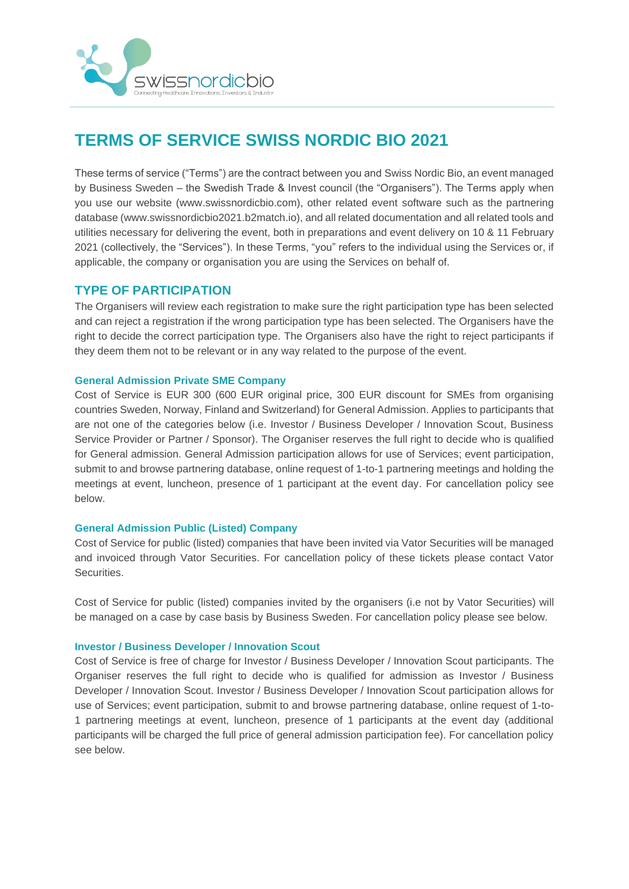

# **TERMS OF SERVICE SWISS NORDIC BIO 2021**

These terms of service ("Terms") are the contract between you and Swiss Nordic Bio, an event managed by Business Sweden – the Swedish Trade & Invest council (the "Organisers"). The Terms apply when you use our website (www.swissnordicbio.com), other related event software such as the partnering database (www.swissnordicbio2021.b2match.io), and all related documentation and all related tools and utilities necessary for delivering the event, both in preparations and event delivery on 10 & 11 February 2021 (collectively, the "Services"). In these Terms, "you" refers to the individual using the Services or, if applicable, the company or organisation you are using the Services on behalf of.

# **TYPE OF PARTICIPATION**

The Organisers will review each registration to make sure the right participation type has been selected and can reject a registration if the wrong participation type has been selected. The Organisers have the right to decide the correct participation type. The Organisers also have the right to reject participants if they deem them not to be relevant or in any way related to the purpose of the event.

## **General Admission Private SME Company**

Cost of Service is EUR 300 (600 EUR original price, 300 EUR discount for SMEs from organising countries Sweden, Norway, Finland and Switzerland) for General Admission. Applies to participants that are not one of the categories below (i.e. Investor / Business Developer / Innovation Scout, Business Service Provider or Partner / Sponsor). The Organiser reserves the full right to decide who is qualified for General admission. General Admission participation allows for use of Services; event participation, submit to and browse partnering database, online request of 1-to-1 partnering meetings and holding the meetings at event, luncheon, presence of 1 participant at the event day. For cancellation policy see below.

## **General Admission Public (Listed) Company**

Cost of Service for public (listed) companies that have been invited via Vator Securities will be managed and invoiced through Vator Securities. For cancellation policy of these tickets please contact Vator Securities.

Cost of Service for public (listed) companies invited by the organisers (i.e not by Vator Securities) will be managed on a case by case basis by Business Sweden. For cancellation policy please see below.

## **Investor / Business Developer / Innovation Scout**

Cost of Service is free of charge for Investor / Business Developer / Innovation Scout participants. The Organiser reserves the full right to decide who is qualified for admission as Investor / Business Developer / Innovation Scout. Investor / Business Developer / Innovation Scout participation allows for use of Services; event participation, submit to and browse partnering database, online request of 1-to-1 partnering meetings at event, luncheon, presence of 1 participants at the event day (additional participants will be charged the full price of general admission participation fee). For cancellation policy see below.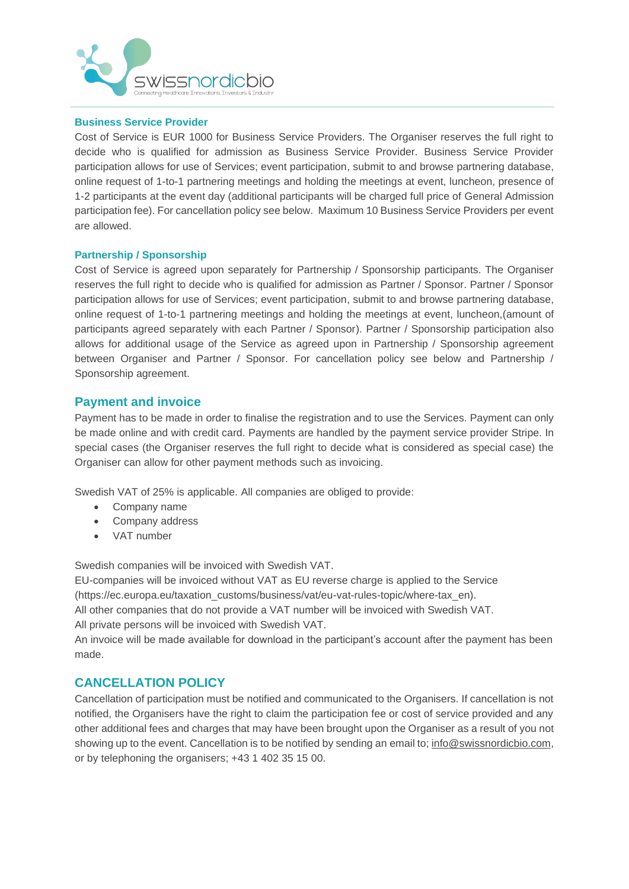

## **Business Service Provider**

Cost of Service is EUR 1000 for Business Service Providers. The Organiser reserves the full right to decide who is qualified for admission as Business Service Provider. Business Service Provider participation allows for use of Services; event participation, submit to and browse partnering database, online request of 1-to-1 partnering meetings and holding the meetings at event, luncheon, presence of 1-2 participants at the event day (additional participants will be charged full price of General Admission participation fee). For cancellation policy see below. Maximum 10 Business Service Providers per event are allowed.

## **Partnership / Sponsorship**

Cost of Service is agreed upon separately for Partnership / Sponsorship participants. The Organiser reserves the full right to decide who is qualified for admission as Partner / Sponsor. Partner / Sponsor participation allows for use of Services; event participation, submit to and browse partnering database, online request of 1-to-1 partnering meetings and holding the meetings at event, luncheon,(amount of participants agreed separately with each Partner / Sponsor). Partner / Sponsorship participation also allows for additional usage of the Service as agreed upon in Partnership / Sponsorship agreement between Organiser and Partner / Sponsor. For cancellation policy see below and Partnership / Sponsorship agreement.

# **Payment and invoice**

Payment has to be made in order to finalise the registration and to use the Services. Payment can only be made online and with credit card. Payments are handled by the payment service provider Stripe. In special cases (the Organiser reserves the full right to decide what is considered as special case) the Organiser can allow for other payment methods such as invoicing.

Swedish VAT of 25% is applicable. All companies are obliged to provide:

- Company name
- Company address
- VAT number

Swedish companies will be invoiced with Swedish VAT.

EU-companies will be invoiced without VAT as EU reverse charge is applied to the Service (https://ec.europa.eu/taxation\_customs/business/vat/eu-vat-rules-topic/where-tax\_en). All other companies that do not provide a VAT number will be invoiced with Swedish VAT. All private persons will be invoiced with Swedish VAT.

An invoice will be made available for download in the participant's account after the payment has been made.

## **CANCELLATION POLICY**

Cancellation of participation must be notified and communicated to the Organisers. If cancellation is not notified, the Organisers have the right to claim the participation fee or cost of service provided and any other additional fees and charges that may have been brought upon the Organiser as a result of you not showing up to the event. Cancellation is to be notified by sending an email to; [info@swissnordicbio.com,](mailto:info@swissnordicbio.com) or by telephoning the organisers; +43 1 402 35 15 00.